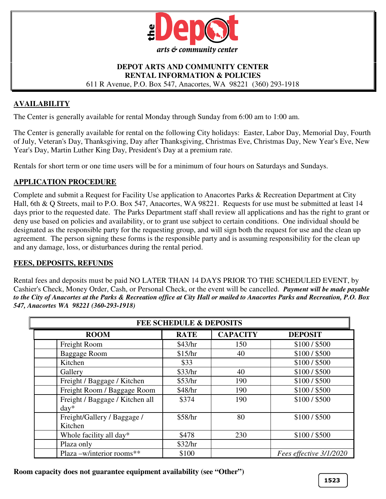

#### **DEPOT ARTS AND COMMUNITY CENTER RENTAL INFORMATION & POLICIES**  611 R Avenue, P.O. Box 547, Anacortes, WA 98221 (360) 293-1918

# **AVAILABILITY**

The Center is generally available for rental Monday through Sunday from 6:00 am to 1:00 am.

The Center is generally available for rental on the following City holidays: Easter, Labor Day, Memorial Day, Fourth of July, Veteran's Day, Thanksgiving, Day after Thanksgiving, Christmas Eve, Christmas Day, New Year's Eve, New Year's Day, Martin Luther King Day, President's Day at a premium rate.

Rentals for short term or one time users will be for a minimum of four hours on Saturdays and Sundays.

### **APPLICATION PROCEDURE**

Complete and submit a Request for Facility Use application to Anacortes Parks & Recreation Department at City Hall, 6th & Q Streets, mail to P.O. Box 547, Anacortes, WA 98221. Requests for use must be submitted at least 14 days prior to the requested date. The Parks Department staff shall review all applications and has the right to grant or deny use based on policies and availability, or to grant use subject to certain conditions. One individual should be designated as the responsible party for the requesting group, and will sign both the request for use and the clean up agreement. The person signing these forms is the responsible party and is assuming responsibility for the clean up and any damage, loss, or disturbances during the rental period.

### **FEES, DEPOSITS, REFUNDS**

Rental fees and deposits must be paid NO LATER THAN 14 DAYS PRIOR TO THE SCHEDULED EVENT, by Cashier's Check, Money Order, Cash, or Personal Check, or the event will be cancelled. *Payment will be made payable to the City of Anacortes at the Parks & Recreation office at City Hall or mailed to Anacortes Parks and Recreation, P.O. Box 547, Anacortes WA 98221 (360-293-1918)*

| <b>FEE SCHEDULE &amp; DEPOSITS</b>         |             |                 |                         |  |
|--------------------------------------------|-------------|-----------------|-------------------------|--|
| <b>ROOM</b>                                | <b>RATE</b> | <b>CAPACITY</b> | <b>DEPOSIT</b>          |  |
| Freight Room                               | \$43/hr     | 150             | \$100/\$500             |  |
| Baggage Room                               | \$15/hr     | 40              | \$100/\$500             |  |
| Kitchen                                    | \$33        |                 | \$100/\$500             |  |
| Gallery                                    | \$33/hr     | 40              | \$100/\$500             |  |
| Freight / Baggage / Kitchen                | \$53/hr     | 190             | \$100/\$500             |  |
| Freight Room / Baggage Room                | \$48/hr     | 190             | \$100/\$500             |  |
| Freight / Baggage / Kitchen all<br>$day^*$ | \$374       | 190             | \$100/\$500             |  |
| Freight/Gallery / Baggage /<br>Kitchen     | \$58/hr     | 80              | \$100/\$500             |  |
| Whole facility all day*                    | \$478       | 230             | \$100/\$500             |  |
| Plaza only                                 | \$32/hr     |                 |                         |  |
| Plaza -w/interior rooms**                  | \$100       |                 | Fees effective 3/1/2020 |  |

**Room capacity does not guarantee equipment availability (see "Other")**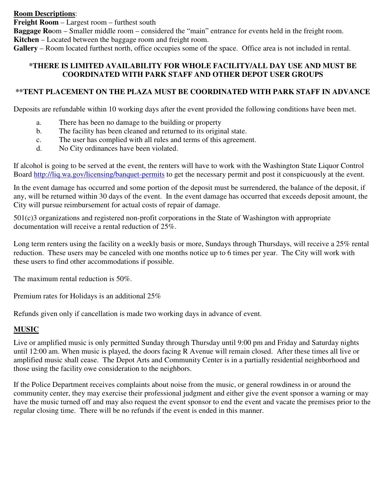**Room Descriptions**:

**Freight Room** – Largest room – furthest south

**Baggage Ro**om – Smaller middle room – considered the "main" entrance for events held in the freight room. **Kitchen** – Located between the baggage room and freight room.

**Gallery** – Room located furthest north, office occupies some of the space. Office area is not included in rental.

# **\*THERE IS LIMITED AVAILABILITY FOR WHOLE FACILITY/ALL DAY USE AND MUST BE COORDINATED WITH PARK STAFF AND OTHER DEPOT USER GROUPS**

# **\*\*TENT PLACEMENT ON THE PLAZA MUST BE COORDINATED WITH PARK STAFF IN ADVANCE**

Deposits are refundable within 10 working days after the event provided the following conditions have been met.

- a. There has been no damage to the building or property
- b. The facility has been cleaned and returned to its original state.
- c. The user has complied with all rules and terms of this agreement.
- d. No City ordinances have been violated.

If alcohol is going to be served at the event, the renters will have to work with the Washington State Liquor Control Board http://liq.wa.gov/licensing/banquet-permits to get the necessary permit and post it conspicuously at the event.

In the event damage has occurred and some portion of the deposit must be surrendered, the balance of the deposit, if any, will be returned within 30 days of the event. In the event damage has occurred that exceeds deposit amount, the City will pursue reimbursement for actual costs of repair of damage.

501(c)3 organizations and registered non-profit corporations in the State of Washington with appropriate documentation will receive a rental reduction of 25%.

Long term renters using the facility on a weekly basis or more, Sundays through Thursdays, will receive a 25% rental reduction. These users may be canceled with one months notice up to 6 times per year. The City will work with these users to find other accommodations if possible.

The maximum rental reduction is 50%.

Premium rates for Holidays is an additional 25%

Refunds given only if cancellation is made two working days in advance of event.

# **MUSIC**

Live or amplified music is only permitted Sunday through Thursday until 9:00 pm and Friday and Saturday nights until 12:00 am. When music is played, the doors facing R Avenue will remain closed. After these times all live or amplified music shall cease. The Depot Arts and Community Center is in a partially residential neighborhood and those using the facility owe consideration to the neighbors.

If the Police Department receives complaints about noise from the music, or general rowdiness in or around the community center, they may exercise their professional judgment and either give the event sponsor a warning or may have the music turned off and may also request the event sponsor to end the event and vacate the premises prior to the regular closing time. There will be no refunds if the event is ended in this manner.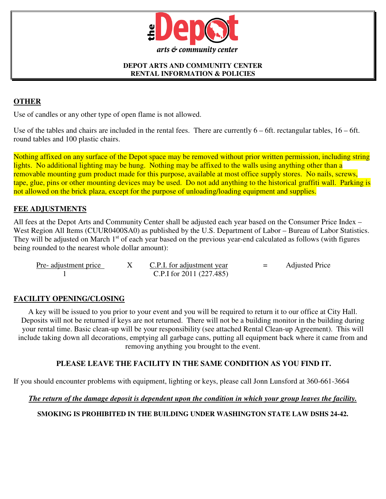

#### **DEPOT ARTS AND COMMUNITY CENTER RENTAL INFORMATION & POLICIES**

# **OTHER**

Use of candles or any other type of open flame is not allowed.

Use of the tables and chairs are included in the rental fees. There are currently  $6 - 6$ ft. rectangular tables,  $16 - 6$ ft. round tables and 100 plastic chairs.

Nothing affixed on any surface of the Depot space may be removed without prior written permission, including string lights. No additional lighting may be hung. Nothing may be affixed to the walls using anything other than a removable mounting gum product made for this purpose, available at most office supply stores. No nails, screws, tape, glue, pins or other mounting devices may be used. Do not add anything to the historical graffiti wall. Parking is not allowed on the brick plaza, except for the purpose of unloading/loading equipment and supplies.

# **FEE ADJUSTMENTS**

All fees at the Depot Arts and Community Center shall be adjusted each year based on the Consumer Price Index – West Region All Items (CUUR0400SA0) as published by the U.S. Department of Labor – Bureau of Labor Statistics. They will be adjusted on March 1<sup>st</sup> of each year based on the previous year-end calculated as follows (with figures being rounded to the nearest whole dollar amount):

| Pre-adjustment price | C.P.I. for adjustment year | $=$ | <b>Adjusted Price</b> |
|----------------------|----------------------------|-----|-----------------------|
|                      | C.P.I for $2011(227.485)$  |     |                       |

# **FACILITY OPENING/CLOSING**

A key will be issued to you prior to your event and you will be required to return it to our office at City Hall. Deposits will not be returned if keys are not returned. There will not be a building monitor in the building during your rental time. Basic clean-up will be your responsibility (see attached Rental Clean-up Agreement). This will include taking down all decorations, emptying all garbage cans, putting all equipment back where it came from and removing anything you brought to the event.

# **PLEASE LEAVE THE FACILITY IN THE SAME CONDITION AS YOU FIND IT.**

If you should encounter problems with equipment, lighting or keys, please call Jonn Lunsford at 360-661-3664

### *The return of the damage deposit is dependent upon the condition in which your group leaves the facility.*

**SMOKING IS PROHIBITED IN THE BUILDING UNDER WASHINGTON STATE LAW DSHS 24-42.**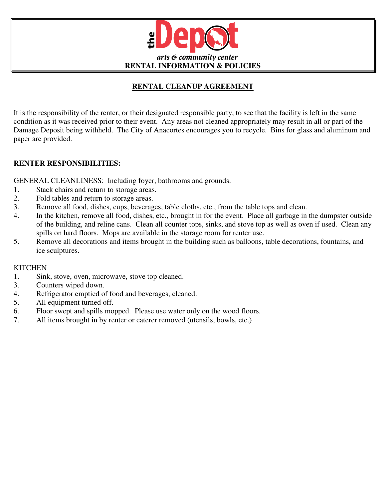

# **RENTAL CLEANUP AGREEMENT**

It is the responsibility of the renter, or their designated responsible party, to see that the facility is left in the same condition as it was received prior to their event. Any areas not cleaned appropriately may result in all or part of the Damage Deposit being withheld. The City of Anacortes encourages you to recycle. Bins for glass and aluminum and paper are provided.

# **RENTER RESPONSIBILITIES:**

GENERAL CLEANLINESS: Including foyer, bathrooms and grounds.

- 1. Stack chairs and return to storage areas.
- 2. Fold tables and return to storage areas.
- 3. Remove all food, dishes, cups, beverages, table cloths, etc., from the table tops and clean.
- 4. In the kitchen, remove all food, dishes, etc., brought in for the event. Place all garbage in the dumpster outside of the building, and reline cans. Clean all counter tops, sinks, and stove top as well as oven if used. Clean any spills on hard floors. Mops are available in the storage room for renter use.
- 5. Remove all decorations and items brought in the building such as balloons, table decorations, fountains, and ice sculptures.

# **KITCHEN**

- 1. Sink, stove, oven, microwave, stove top cleaned.
- 3. Counters wiped down.
- 4. Refrigerator emptied of food and beverages, cleaned.
- 5. All equipment turned off.
- 6. Floor swept and spills mopped. Please use water only on the wood floors.
- 7. All items brought in by renter or caterer removed (utensils, bowls, etc.)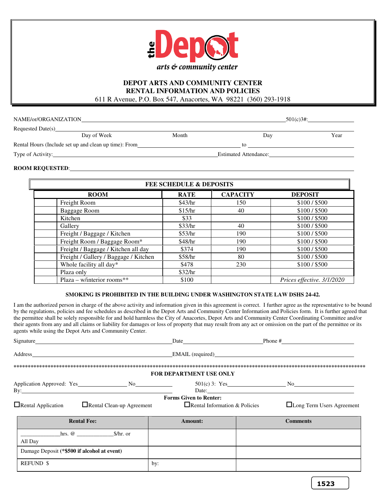

#### **DEPOT ARTS AND COMMUNITY CENTER RENTAL INFORMATION AND POLICIES**  611 R Avenue, P.O. Box 547, Anacortes, WA 98221 (360) 293-1918

| NAME/or/ORGANIZATION |                                                       | $501(c)3#$ : |                       |      |
|----------------------|-------------------------------------------------------|--------------|-----------------------|------|
| Requested Date(s)    |                                                       |              |                       |      |
|                      | Day of Week                                           | Month        | Day                   | Year |
|                      | Rental Hours (Include set up and clean up time): From |              | tο                    |      |
| Type of Activity:    |                                                       |              | Estimated Attendance: |      |

#### **ROOM REQUESTED**:

I

| <b>FEE SCHEDULE &amp; DEPOSITS</b>    |             |                 |                            |
|---------------------------------------|-------------|-----------------|----------------------------|
| <b>ROOM</b>                           | <b>RATE</b> | <b>CAPACITY</b> | <b>DEPOSIT</b>             |
| Freight Room                          | \$43/hr     | 150             | \$100/\$500                |
| Baggage Room                          | \$15/hr     | 40              | \$100/\$500                |
| Kitchen                               | \$33        |                 | \$100/\$500                |
| Gallery                               | \$33/hr     | 40              | \$100/\$500                |
| Freight / Baggage / Kitchen           | \$53/hr     | 190             | \$100/\$500                |
| Freight Room / Baggage Room*          | \$48/hr     | 190             | \$100/\$500                |
| Freight / Baggage / Kitchen all day   | \$374       | 190             | \$100/\$500                |
| Freight / Gallery / Baggage / Kitchen | \$58/hr     | 80              | \$100/\$500                |
| Whole facility all day*               | \$478       | 230             | \$100/\$500                |
| Plaza only                            | \$32/hr     |                 |                            |
| Plaza – w/interior rooms**            | \$100       |                 | Prices effective. 3/1/2020 |

#### **SMOKING IS PROHIBITED IN THE BUILDING UNDER WASHINGTON STATE LAW DSHS 24-42.**

I am the authorized person in charge of the above activity and information given in this agreement is correct. I further agree as the representative to be bound by the regulations, policies and fee schedules as described in the Depot Arts and Community Center Information and Policies form. It is further agreed that the permittee shall be solely responsible for and hold harmless the City of Anacortes, Depot Arts and Community Center Coordinating Committee and/or their agents from any and all claims or liability for damages or loss of property that may result from any act or omission on the part of the permittee or its agents while using the Depot Arts and Community Center.

|                                                                                                                                                                                                                                                                                                                                                                                  |                                                                       | Date Phone #                     |
|----------------------------------------------------------------------------------------------------------------------------------------------------------------------------------------------------------------------------------------------------------------------------------------------------------------------------------------------------------------------------------|-----------------------------------------------------------------------|----------------------------------|
|                                                                                                                                                                                                                                                                                                                                                                                  |                                                                       | <b>EMAIL</b> (required)          |
|                                                                                                                                                                                                                                                                                                                                                                                  | <b>FOR DEPARTMENT USE ONLY</b>                                        |                                  |
| $\mathbf{By:}\n \overline{\phantom{(0,0)}\n \phantom{(0,0)}\n \phantom{(0,0)}\n \phantom{(0,0)}\n \phantom{(0,0)}\n \phantom{(0,0)}\n \phantom{(0,0)}\n \phantom{(0,0)}\n \phantom{(0,0)}\n \phantom{(0,0)}\n \phantom{(0,0)}\n \phantom{(0,0)}\n \phantom{(0,0)}\n \phantom{(0,0)}\n \phantom{(0,0)}\n \phantom{(0,0)}\n \phantom{(0,0)}\n \phantom{(0,0)}\n \phantom{(0,0)}\n$ |                                                                       |                                  |
| $\Box$ Rental Application<br>$\Box$ Rental Clean-up Agreement                                                                                                                                                                                                                                                                                                                    | <b>Forms Given to Renter:</b><br>$\Box$ Rental Information & Policies | <b>Long Term Users Agreement</b> |
| <b>Rental Fee:</b>                                                                                                                                                                                                                                                                                                                                                               | <b>Amount:</b>                                                        | <b>Comments</b>                  |
| $hrs. @$ $$/hr. or$<br>All Day                                                                                                                                                                                                                                                                                                                                                   |                                                                       |                                  |
| Damage Deposit (*\$500 if alcohol at event)                                                                                                                                                                                                                                                                                                                                      |                                                                       |                                  |
| <b>REFUND \$</b>                                                                                                                                                                                                                                                                                                                                                                 | by:                                                                   |                                  |